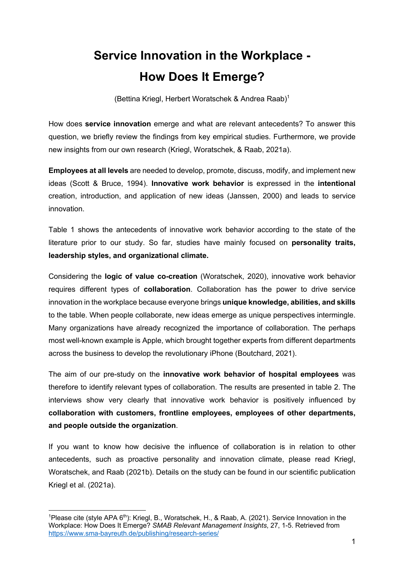## **Service Innovation in the Workplace - How Does It Emerge?**

(Bettina Kriegl, Herbert Woratschek & Andrea Raab) 1

How does **service innovation** emerge and what are relevant antecedents? To answer this question, we briefly review the findings from key empirical studies. Furthermore, we provide new insights from our own research (Kriegl, Woratschek, & Raab, 2021a).

**Employees at all levels** are needed to develop, promote, discuss, modify, and implement new ideas (Scott & Bruce, 1994). **Innovative work behavior** is expressed in the **intentional** creation, introduction, and application of new ideas (Janssen, 2000) and leads to service innovation.

Table 1 shows the antecedents of innovative work behavior according to the state of the literature prior to our study. So far, studies have mainly focused on **personality traits, leadership styles, and organizational climate.**

Considering the **logic of value co-creation** (Woratschek, 2020), innovative work behavior requires different types of **collaboration**. Collaboration has the power to drive service innovation in the workplace because everyone brings **unique knowledge, abilities, and skills** to the table. When people collaborate, new ideas emerge as unique perspectives intermingle. Many organizations have already recognized the importance of collaboration. The perhaps most well-known example is Apple, which brought together experts from different departments across the business to develop the revolutionary iPhone (Boutchard, 2021).

The aim of our pre-study on the **innovative work behavior of hospital employees** was therefore to identify relevant types of collaboration. The results are presented in table 2. The interviews show very clearly that innovative work behavior is positively influenced by **collaboration with customers, frontline employees, employees of other departments, and people outside the organization**.

If you want to know how decisive the influence of collaboration is in relation to other antecedents, such as proactive personality and innovation climate, please read Kriegl, Woratschek, and Raab (2021b). Details on the study can be found in our scientific publication Kriegl et al. (2021a).

<sup>&</sup>lt;sup>1</sup>Please cite (style APA  $6<sup>th</sup>$ ): Kriegl, B., Woratschek, H., & Raab, A. (2021). Service Innovation in the Workplace: How Does It Emerge? *SMAB Relevant Management Insights*, 27, 1-5. Retrieved from https://www.sma-bayreuth.de/publishing/research-series/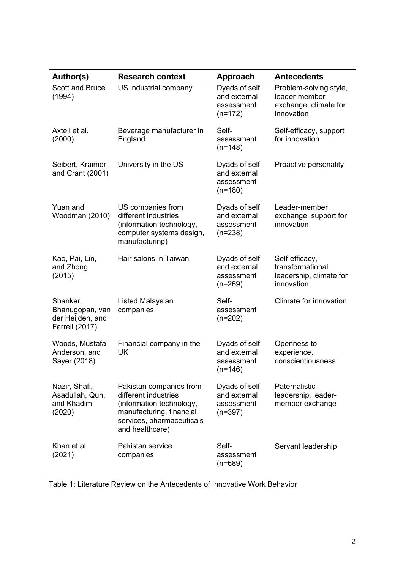| Author(s)                                                                | <b>Research context</b>                                                                                                                                 | <b>Approach</b>                                          | <b>Antecedents</b>                                                             |
|--------------------------------------------------------------------------|---------------------------------------------------------------------------------------------------------------------------------------------------------|----------------------------------------------------------|--------------------------------------------------------------------------------|
| <b>Scott and Bruce</b><br>(1994)                                         | US industrial company                                                                                                                                   | Dyads of self<br>and external<br>assessment<br>$(n=172)$ | Problem-solving style,<br>leader-member<br>exchange, climate for<br>innovation |
| Axtell et al.<br>(2000)                                                  | Beverage manufacturer in<br>England                                                                                                                     | Self-<br>assessment<br>$(n=148)$                         | Self-efficacy, support<br>for innovation                                       |
| Seibert, Kraimer,<br>and Crant (2001)                                    | University in the US                                                                                                                                    | Dyads of self<br>and external<br>assessment<br>$(n=180)$ | Proactive personality                                                          |
| Yuan and<br>Woodman (2010)                                               | US companies from<br>different industries<br>(information technology,<br>computer systems design,<br>manufacturing)                                     | Dyads of self<br>and external<br>assessment<br>$(n=238)$ | Leader-member<br>exchange, support for<br>innovation                           |
| Kao, Pai, Lin,<br>and Zhong<br>(2015)                                    | Hair salons in Taiwan                                                                                                                                   | Dyads of self<br>and external<br>assessment<br>$(n=269)$ | Self-efficacy,<br>transformational<br>leadership, climate for<br>innovation    |
| Shanker,<br>Bhanugopan, van<br>der Heijden, and<br><b>Farrell (2017)</b> | <b>Listed Malaysian</b><br>companies                                                                                                                    | Self-<br>assessment<br>$(n=202)$                         | Climate for innovation                                                         |
| Woods, Mustafa,<br>Anderson, and<br>Sayer (2018)                         | Financial company in the<br>UK                                                                                                                          | Dyads of self<br>and external<br>assessment<br>$(n=146)$ | Openness to<br>experience,<br>conscientiousness                                |
| Nazir, Shafi,<br>Asadullah, Qun,<br>and Khadim<br>(2020)                 | Pakistan companies from<br>different industries<br>(information technology,<br>manufacturing, financial<br>services, pharmaceuticals<br>and healthcare) | Dyads of self<br>and external<br>assessment<br>$(n=397)$ | Paternalistic<br>leadership, leader-<br>member exchange                        |
| Khan et al.<br>(2021)                                                    | Pakistan service<br>companies                                                                                                                           | Self-<br>assessment<br>$(n=689)$                         | Servant leadership                                                             |

Table 1: Literature Review on the Antecedents of Innovative Work Behavior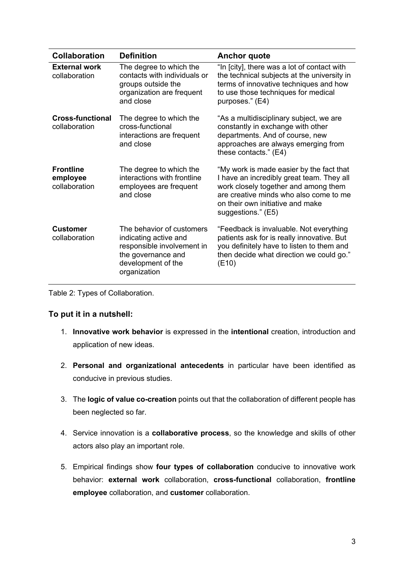| <b>Collaboration</b>                          | <b>Definition</b>                                                                                                                            | <b>Anchor quote</b>                                                                                                                                                                                                               |  |
|-----------------------------------------------|----------------------------------------------------------------------------------------------------------------------------------------------|-----------------------------------------------------------------------------------------------------------------------------------------------------------------------------------------------------------------------------------|--|
| <b>External work</b><br>collaboration         | The degree to which the<br>contacts with individuals or<br>groups outside the<br>organization are frequent<br>and close                      | "In [city], there was a lot of contact with<br>the technical subjects at the university in<br>terms of innovative techniques and how<br>to use those techniques for medical<br>purposes." (E4)                                    |  |
| <b>Cross-functional</b><br>collaboration      | The degree to which the<br>cross-functional<br>interactions are frequent<br>and close                                                        | "As a multidisciplinary subject, we are<br>constantly in exchange with other<br>departments. And of course, new<br>approaches are always emerging from<br>these contacts." (E4)                                                   |  |
| <b>Frontline</b><br>employee<br>collaboration | The degree to which the<br>interactions with frontline<br>employees are frequent<br>and close                                                | "My work is made easier by the fact that<br>I have an incredibly great team. They all<br>work closely together and among them<br>are creative minds who also come to me<br>on their own initiative and make<br>suggestions." (E5) |  |
| <b>Customer</b><br>collaboration              | The behavior of customers<br>indicating active and<br>responsible involvement in<br>the governance and<br>development of the<br>organization | "Feedback is invaluable. Not everything<br>patients ask for is really innovative. But<br>you definitely have to listen to them and<br>then decide what direction we could go."<br>(E10)                                           |  |

Table 2: Types of Collaboration.

## **To put it in a nutshell:**

- 1. **Innovative work behavior** is expressed in the **intentional** creation, introduction and application of new ideas.
- 2. **Personal and organizational antecedents** in particular have been identified as conducive in previous studies.
- 3. The **logic of value co-creation** points out that the collaboration of different people has been neglected so far.
- 4. Service innovation is a **collaborative process**, so the knowledge and skills of other actors also play an important role.
- 5. Empirical findings show **four types of collaboration** conducive to innovative work behavior: **external work** collaboration, **cross-functional** collaboration, **frontline employee** collaboration, and **customer** collaboration.